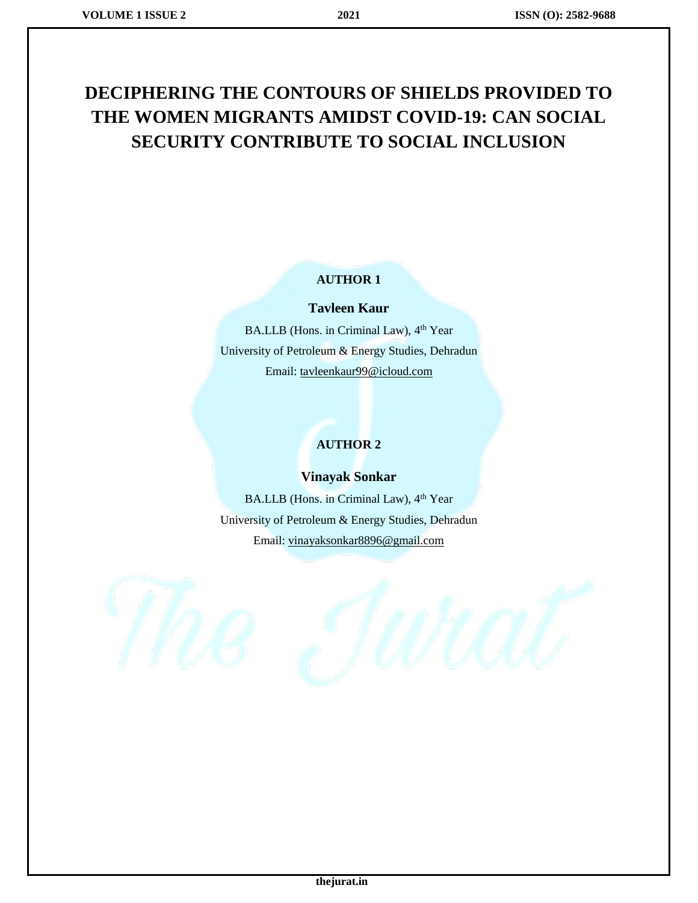# **DECIPHERING THE CONTOURS OF SHIELDS PROVIDED TO THE WOMEN MIGRANTS AMIDST COVID-19: CAN SOCIAL SECURITY CONTRIBUTE TO SOCIAL INCLUSION**

#### **AUTHOR 1**

#### **Tavleen Kaur**

BA.LLB (Hons. in Criminal Law), 4<sup>th</sup> Year University of Petroleum & Energy Studies, Dehradun Email: [tavleenkaur99@icloud.com](mailto:tavleenkaur99@icloud.com)

### **AUTHOR 2**

### **Vinayak Sonkar**

BA.LLB (Hons. in Criminal Law), 4<sup>th</sup> Year University of Petroleum & Energy Studies, Dehradun Email: vinayaksonkar8896@gmail.com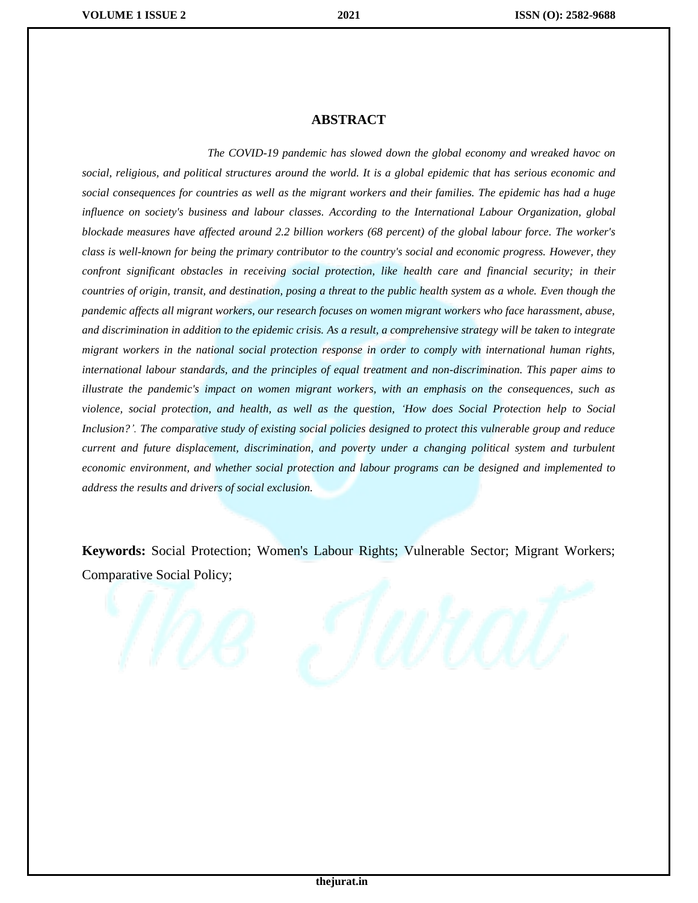#### **ABSTRACT**

 *The COVID-19 pandemic has slowed down the global economy and wreaked havoc on social, religious, and political structures around the world. It is a global epidemic that has serious economic and social consequences for countries as well as the migrant workers and their families. The epidemic has had a huge influence on society's business and labour classes. According to the International Labour Organization, global blockade measures have affected around 2.2 billion workers (68 percent) of the global labour force. The worker's class is well-known for being the primary contributor to the country's social and economic progress. However, they confront significant obstacles in receiving social protection, like health care and financial security; in their countries of origin, transit, and destination, posing a threat to the public health system as a whole. Even though the pandemic affects all migrant workers, our research focuses on women migrant workers who face harassment, abuse, and discrimination in addition to the epidemic crisis. As a result, a comprehensive strategy will be taken to integrate migrant workers in the national social protection response in order to comply with international human rights, international labour standards, and the principles of equal treatment and non-discrimination. This paper aims to illustrate the pandemic's impact on women migrant workers, with an emphasis on the consequences, such as violence, social protection, and health, as well as the question, 'How does Social Protection help to Social Inclusion?'. The comparative study of existing social policies designed to protect this vulnerable group and reduce current and future displacement, discrimination, and poverty under a changing political system and turbulent economic environment, and whether social protection and labour programs can be designed and implemented to address the results and drivers of social exclusion.*

**Keywords:** Social Protection; Women's Labour Rights; Vulnerable Sector; Migrant Workers; Comparative Social Policy;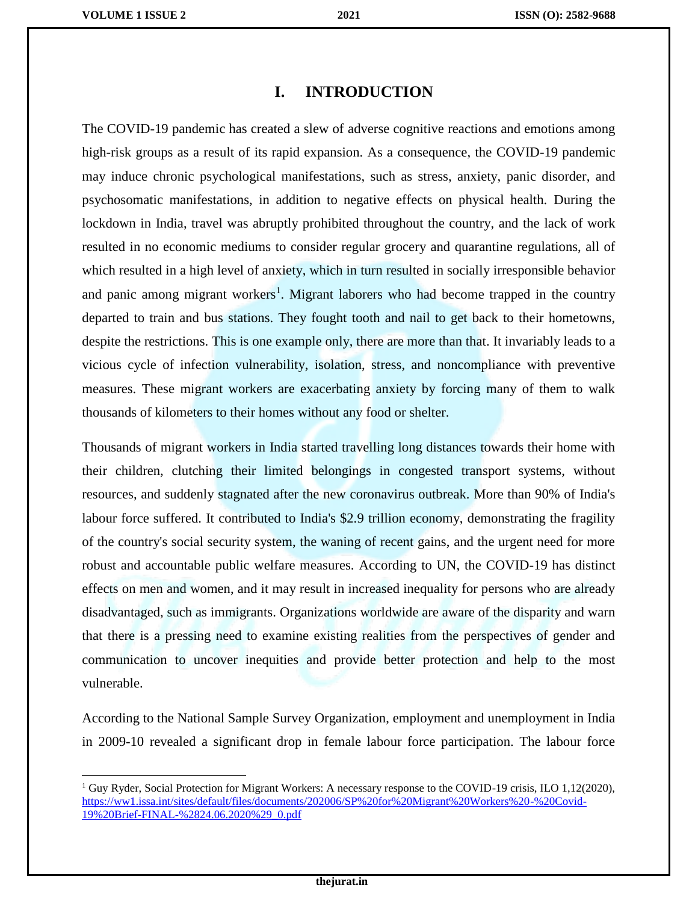$\overline{\phantom{a}}$ 

### **I. INTRODUCTION**

The COVID-19 pandemic has created a slew of adverse cognitive reactions and emotions among high-risk groups as a result of its rapid expansion. As a consequence, the COVID-19 pandemic may induce chronic psychological manifestations, such as stress, anxiety, panic disorder, and psychosomatic manifestations, in addition to negative effects on physical health. During the lockdown in India, travel was abruptly prohibited throughout the country, and the lack of work resulted in no economic mediums to consider regular grocery and quarantine regulations, all of which resulted in a high level of anxiety, which in turn resulted in socially irresponsible behavior and panic among migrant workers<sup>1</sup>. Migrant laborers who had become trapped in the country departed to train and bus stations. They fought tooth and nail to get back to their hometowns, despite the restrictions. This is one example only, there are more than that. It invariably leads to a vicious cycle of infection vulnerability, isolation, stress, and noncompliance with preventive measures. These migrant workers are exacerbating anxiety by forcing many of them to walk thousands of kilometers to their homes without any food or shelter.

Thousands of migrant workers in India started travelling long distances towards their home with their children, clutching their limited belongings in congested transport systems, without resources, and suddenly stagnated after the new coronavirus outbreak. More than 90% of India's labour force suffered. It contributed to India's \$2.9 trillion economy, demonstrating the fragility of the country's social security system, the waning of recent gains, and the urgent need for more robust and accountable public welfare measures. According to UN, the COVID-19 has distinct effects on men and women, and it may result in increased inequality for persons who are already disadvantaged, such as immigrants. Organizations worldwide are aware of the disparity and warn that there is a pressing need to examine existing realities from the perspectives of gender and communication to uncover inequities and provide better protection and help to the most vulnerable.

According to the National Sample Survey Organization, employment and unemployment in India in 2009-10 revealed a significant drop in female labour force participation. The labour force

<sup>&</sup>lt;sup>1</sup> Guy Ryder, Social Protection for Migrant Workers: A necessary response to the COVID-19 crisis, ILO 1,12(2020), [https://ww1.issa.int/sites/default/files/documents/202006/SP%20for%20Migrant%20Workers%20-%20Covid-](https://ww1.issa.int/sites/default/files/documents/202006/SP%20for%20Migrant%20Workers%20-%20Covid-19%20Brief-FINAL-%2824.06.2020%29_0.pdf)[19%20Brief-FINAL-%2824.06.2020%29\\_0.pdf](https://ww1.issa.int/sites/default/files/documents/202006/SP%20for%20Migrant%20Workers%20-%20Covid-19%20Brief-FINAL-%2824.06.2020%29_0.pdf)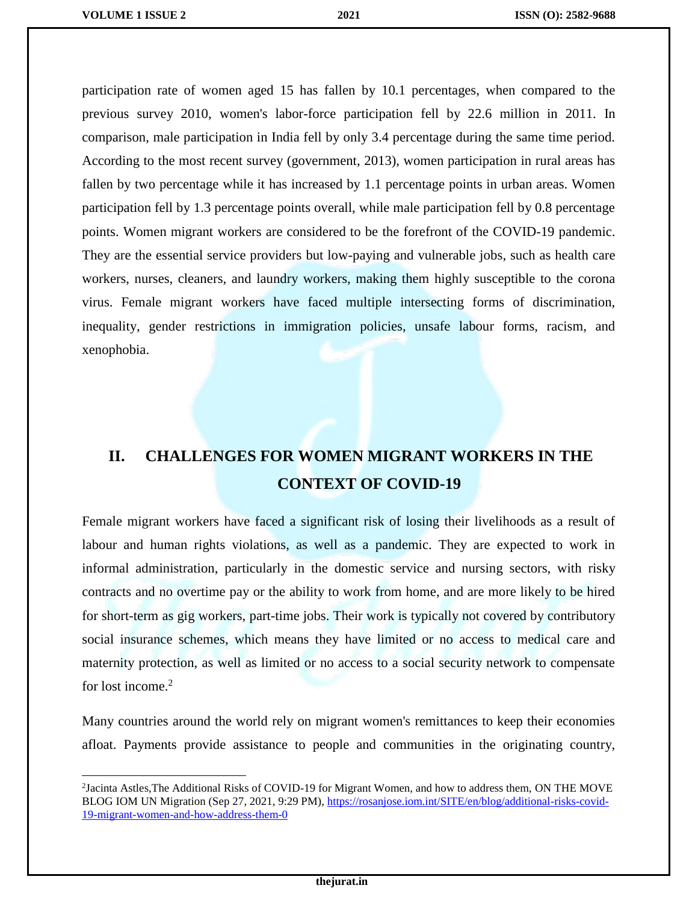$\overline{\phantom{a}}$ 

participation rate of women aged 15 has fallen by 10.1 percentages, when compared to the previous survey 2010, women's labor-force participation fell by 22.6 million in 2011. In comparison, male participation in India fell by only 3.4 percentage during the same time period. According to the most recent survey (government, 2013), women participation in rural areas has fallen by two percentage while it has increased by 1.1 percentage points in urban areas. Women participation fell by 1.3 percentage points overall, while male participation fell by 0.8 percentage points. Women migrant workers are considered to be the forefront of the COVID-19 pandemic. They are the essential service providers but low-paying and vulnerable jobs, such as health care workers, nurses, cleaners, and laundry workers, making them highly susceptible to the corona virus. Female migrant workers have faced multiple intersecting forms of discrimination, inequality, gender restrictions in immigration policies, unsafe labour forms, racism, and xenophobia.

## **II. CHALLENGES FOR WOMEN MIGRANT WORKERS IN THE CONTEXT OF COVID-19**

Female migrant workers have faced a significant risk of losing their livelihoods as a result of labour and human rights violations, as well as a pandemic. They are expected to work in informal administration, particularly in the domestic service and nursing sectors, with risky contracts and no overtime pay or the ability to work from home, and are more likely to be hired for short-term as gig workers, part-time jobs. Their work is typically not covered by contributory social insurance schemes, which means they have limited or no access to medical care and maternity protection, as well as limited or no access to a social security network to compensate for lost income.<sup>2</sup>

Many countries around the world rely on migrant women's remittances to keep their economies afloat. Payments provide assistance to people and communities in the originating country,

<sup>2</sup> Jacinta Astles,The Additional Risks of COVID-19 for Migrant Women, and how to address them, ON THE MOVE BLOG IOM UN Migration (Sep 27, 2021, 9:29 PM), [https://rosanjose.iom.int/SITE/en/blog/additional-risks-covid-](https://rosanjose.iom.int/SITE/en/blog/additional-risks-covid-19-migrant-women-and-how-address-them-0)[19-migrant-women-and-how-address-them-0](https://rosanjose.iom.int/SITE/en/blog/additional-risks-covid-19-migrant-women-and-how-address-them-0)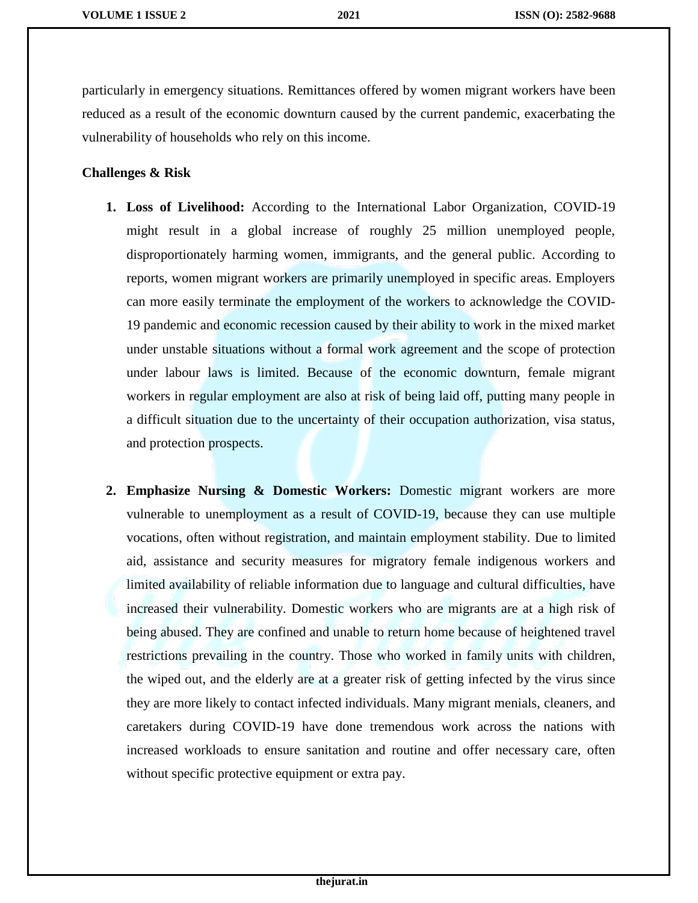particularly in emergency situations. Remittances offered by women migrant workers have been reduced as a result of the economic downturn caused by the current pandemic, exacerbating the vulnerability of households who rely on this income.

### **Challenges & Risk**

ı

- **1. Loss of Livelihood:** According to the International Labor Organization, COVID-19 might result in a global increase of roughly 25 million unemployed people, disproportionately harming women, immigrants, and the general public. According to reports, women migrant workers are primarily unemployed in specific areas. Employers can more easily terminate the employment of the workers to acknowledge the COVID-19 pandemic and economic recession caused by their ability to work in the mixed market under unstable situations without a formal work agreement and the scope of protection under labour laws is limited. Because of the economic downturn, female migrant workers in regular employment are also at risk of being laid off, putting many people in a difficult situation due to the uncertainty of their occupation authorization, visa status, and protection prospects.
- **2. Emphasize Nursing & Domestic Workers:** Domestic migrant workers are more vulnerable to unemployment as a result of COVID-19, because they can use multiple vocations, often without registration, and maintain employment stability. Due to limited aid, assistance and security measures for migratory female indigenous workers and limited availability of reliable information due to language and cultural difficulties, have increased their vulnerability. Domestic workers who are migrants are at a high risk of being abused. They are confined and unable to return home because of heightened travel restrictions prevailing in the country. Those who worked in family units with children, the wiped out, and the elderly are at a greater risk of getting infected by the virus since they are more likely to contact infected individuals. Many migrant menials, cleaners, and caretakers during COVID-19 have done tremendous work across the nations with increased workloads to ensure sanitation and routine and offer necessary care, often without specific protective equipment or extra pay.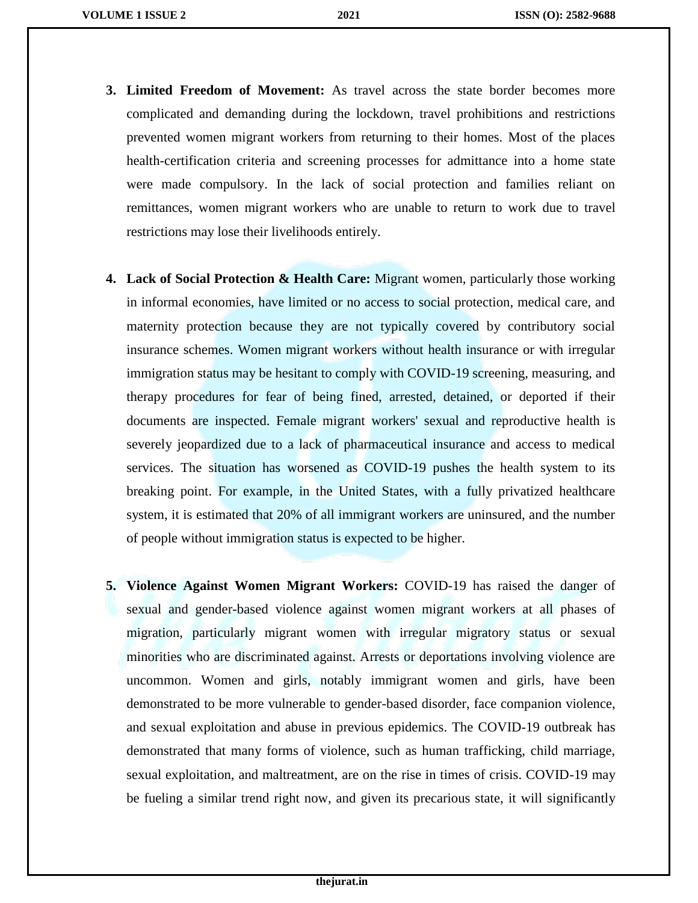- **3. Limited Freedom of Movement:** As travel across the state border becomes more complicated and demanding during the lockdown, travel prohibitions and restrictions prevented women migrant workers from returning to their homes. Most of the places health-certification criteria and screening processes for admittance into a home state were made compulsory. In the lack of social protection and families reliant on remittances, women migrant workers who are unable to return to work due to travel restrictions may lose their livelihoods entirely.
- **4. Lack of Social Protection & Health Care:** Migrant women, particularly those working in informal economies, have limited or no access to social protection, medical care, and maternity protection because they are not typically covered by contributory social insurance schemes. Women migrant workers without health insurance or with irregular immigration status may be hesitant to comply with COVID-19 screening, measuring, and therapy procedures for fear of being fined, arrested, detained, or deported if their documents are inspected. Female migrant workers' sexual and reproductive health is severely jeopardized due to a lack of pharmaceutical insurance and access to medical services. The situation has worsened as COVID-19 pushes the health system to its breaking point. For example, in the United States, with a fully privatized healthcare system, it is estimated that 20% of all immigrant workers are uninsured, and the number of people without immigration status is expected to be higher.
- **5. Violence Against Women Migrant Workers:** COVID-19 has raised the danger of sexual and gender-based violence against women migrant workers at all phases of migration, particularly migrant women with irregular migratory status or sexual minorities who are discriminated against. Arrests or deportations involving violence are uncommon. Women and girls, notably immigrant women and girls, have been demonstrated to be more vulnerable to gender-based disorder, face companion violence, and sexual exploitation and abuse in previous epidemics. The COVID-19 outbreak has demonstrated that many forms of violence, such as human trafficking, child marriage, sexual exploitation, and maltreatment, are on the rise in times of crisis. COVID-19 may be fueling a similar trend right now, and given its precarious state, it will significantly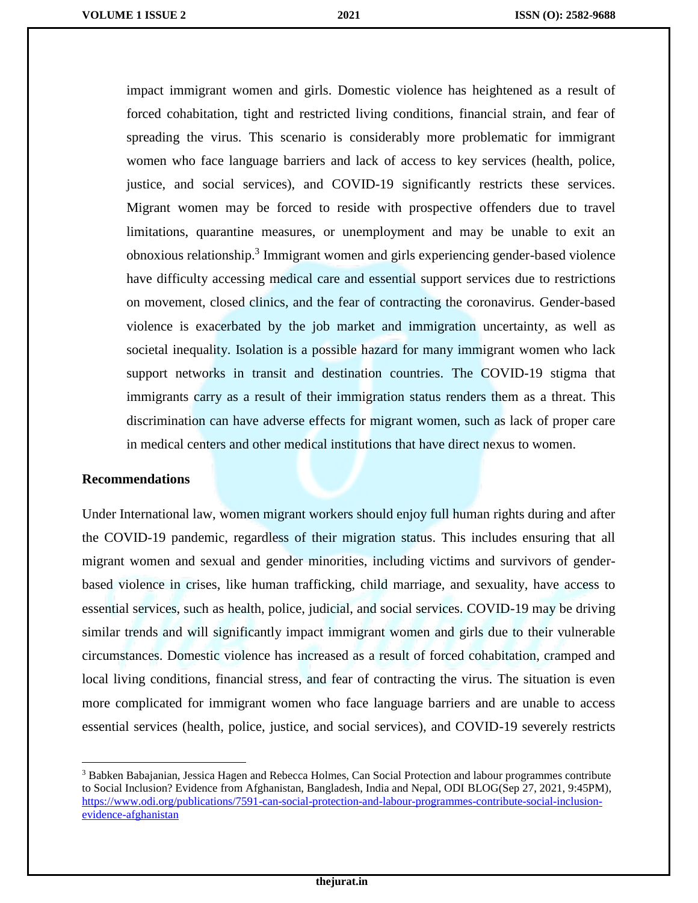impact immigrant women and girls. Domestic violence has heightened as a result of forced cohabitation, tight and restricted living conditions, financial strain, and fear of spreading the virus. This scenario is considerably more problematic for immigrant women who face language barriers and lack of access to key services (health, police, justice, and social services), and COVID-19 significantly restricts these services. Migrant women may be forced to reside with prospective offenders due to travel limitations, quarantine measures, or unemployment and may be unable to exit an obnoxious relationship.<sup>3</sup> Immigrant women and girls experiencing gender-based violence have difficulty accessing medical care and essential support services due to restrictions on movement, closed clinics, and the fear of contracting the coronavirus. Gender-based violence is exacerbated by the job market and immigration uncertainty, as well as societal inequality. Isolation is a possible hazard for many immigrant women who lack support networks in transit and destination countries. The COVID-19 stigma that immigrants carry as a result of their immigration status renders them as a threat. This discrimination can have adverse effects for migrant women, such as lack of proper care in medical centers and other medical institutions that have direct nexus to women.

#### **Recommendations**

ı

 $\overline{a}$ 

Under International law, women migrant workers should enjoy full human rights during and after the COVID-19 pandemic, regardless of their migration status. This includes ensuring that all migrant women and sexual and gender minorities, including victims and survivors of genderbased violence in crises, like human trafficking, child marriage, and sexuality, have access to essential services, such as health, police, judicial, and social services. COVID-19 may be driving similar trends and will significantly impact immigrant women and girls due to their vulnerable circumstances. Domestic violence has increased as a result of forced cohabitation, cramped and local living conditions, financial stress, and fear of contracting the virus. The situation is even more complicated for immigrant women who face language barriers and are unable to access essential services (health, police, justice, and social services), and COVID-19 severely restricts

<sup>&</sup>lt;sup>3</sup> Babken Babajanian, Jessica Hagen and Rebecca Holmes, Can Social Protection and labour programmes contribute to Social Inclusion? Evidence from Afghanistan, Bangladesh, India and Nepal, ODI BLOG(Sep 27, 2021, 9:45PM), [https://www.odi.org/publications/7591-can-social-protection-and-labour-programmes-contribute-social-inclusion](https://www.odi.org/publications/7591-can-social-protection-and-labour-programmes-contribute-social-inclusion-evidence-afghanistan)[evidence-afghanistan](https://www.odi.org/publications/7591-can-social-protection-and-labour-programmes-contribute-social-inclusion-evidence-afghanistan)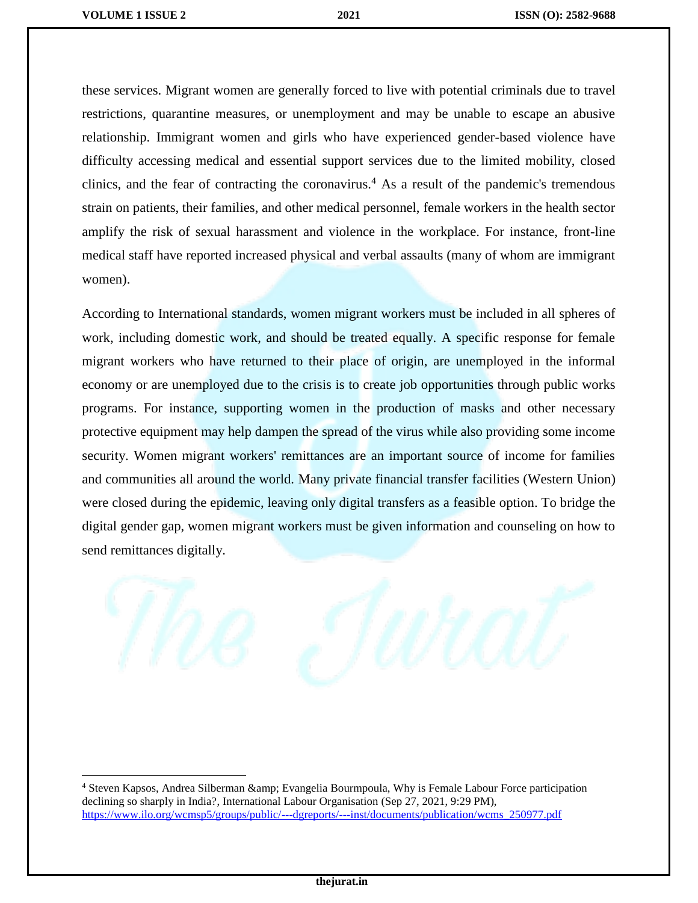$\overline{\phantom{a}}$ 

these services. Migrant women are generally forced to live with potential criminals due to travel restrictions, quarantine measures, or unemployment and may be unable to escape an abusive relationship. Immigrant women and girls who have experienced gender-based violence have difficulty accessing medical and essential support services due to the limited mobility, closed clinics, and the fear of contracting the coronavirus.<sup>4</sup> As a result of the pandemic's tremendous strain on patients, their families, and other medical personnel, female workers in the health sector amplify the risk of sexual harassment and violence in the workplace. For instance, front-line medical staff have reported increased physical and verbal assaults (many of whom are immigrant women).

According to International standards, women migrant workers must be included in all spheres of work, including domestic work, and should be treated equally. A specific response for female migrant workers who have returned to their place of origin, are unemployed in the informal economy or are unemployed due to the crisis is to create job opportunities through public works programs. For instance, supporting women in the production of masks and other necessary protective equipment may help dampen the spread of the virus while also providing some income security. Women migrant workers' remittances are an important source of income for families and communities all around the world. Many private financial transfer facilities (Western Union) were closed during the epidemic, leaving only digital transfers as a feasible option. To bridge the digital gender gap, women migrant workers must be given information and counseling on how to send remittances digitally.



<sup>4</sup> Steven Kapsos, Andrea Silberman & Evangelia Bourmpoula, Why is Female Labour Force participation declining so sharply in India?, International Labour Organisation (Sep 27, 2021, 9:29 PM), [https://www.ilo.org/wcmsp5/groups/public/---dgreports/---inst/documents/publication/wcms\\_250977.pdf](https://www.ilo.org/wcmsp5/groups/public/---dgreports/---inst/documents/publication/wcms_250977.pdf)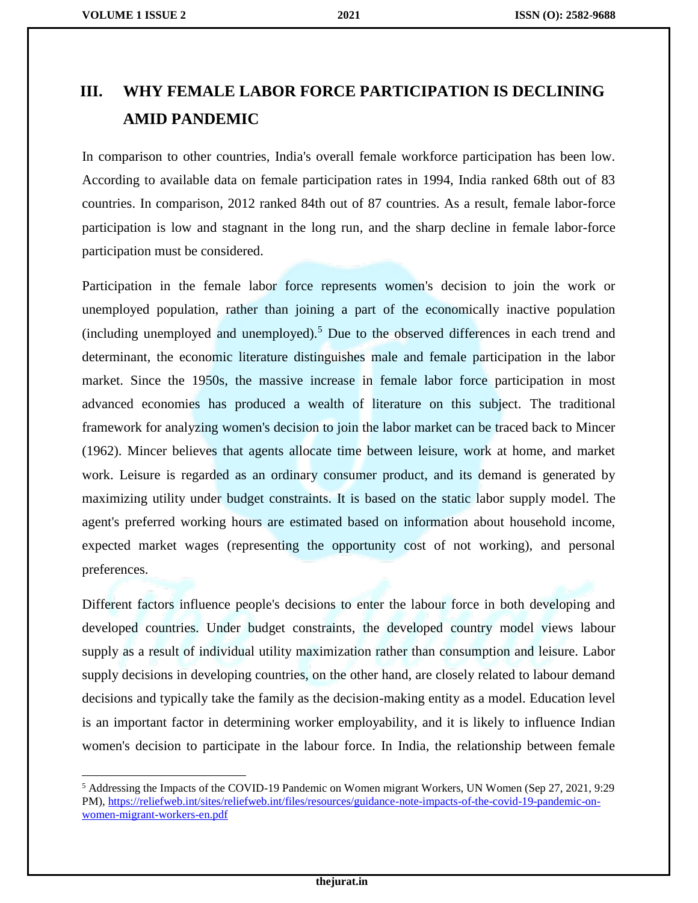$\overline{\phantom{a}}$ 

## **III. WHY FEMALE LABOR FORCE PARTICIPATION IS DECLINING AMID PANDEMIC**

In comparison to other countries, India's overall female workforce participation has been low. According to available data on female participation rates in 1994, India ranked 68th out of 83 countries. In comparison, 2012 ranked 84th out of 87 countries. As a result, female labor-force participation is low and stagnant in the long run, and the sharp decline in female labor-force participation must be considered.

Participation in the female labor force represents women's decision to join the work or unemployed population, rather than joining a part of the economically inactive population (including unemployed and unemployed).<sup>5</sup> Due to the observed differences in each trend and determinant, the economic literature distinguishes male and female participation in the labor market. Since the 1950s, the massive increase in female labor force participation in most advanced economies has produced a wealth of literature on this subject. The traditional framework for analyzing women's decision to join the labor market can be traced back to Mincer (1962). Mincer believes that agents allocate time between leisure, work at home, and market work. Leisure is regarded as an ordinary consumer product, and its demand is generated by maximizing utility under budget constraints. It is based on the static labor supply model. The agent's preferred working hours are estimated based on information about household income, expected market wages (representing the opportunity cost of not working), and personal preferences.

Different factors influence people's decisions to enter the labour force in both developing and developed countries. Under budget constraints, the developed country model views labour supply as a result of individual utility maximization rather than consumption and leisure. Labor supply decisions in developing countries, on the other hand, are closely related to labour demand decisions and typically take the family as the decision-making entity as a model. Education level is an important factor in determining worker employability, and it is likely to influence Indian women's decision to participate in the labour force. In India, the relationship between female

<sup>5</sup> Addressing the Impacts of the COVID-19 Pandemic on Women migrant Workers, UN Women (Sep 27, 2021, 9:29 PM), [https://reliefweb.int/sites/reliefweb.int/files/resources/guidance-note-impacts-of-the-covid-19-pandemic-on](https://reliefweb.int/sites/reliefweb.int/files/resources/guidance-note-impacts-of-the-covid-19-pandemic-on-women-migrant-workers-en.pdf)[women-migrant-workers-en.pdf](https://reliefweb.int/sites/reliefweb.int/files/resources/guidance-note-impacts-of-the-covid-19-pandemic-on-women-migrant-workers-en.pdf)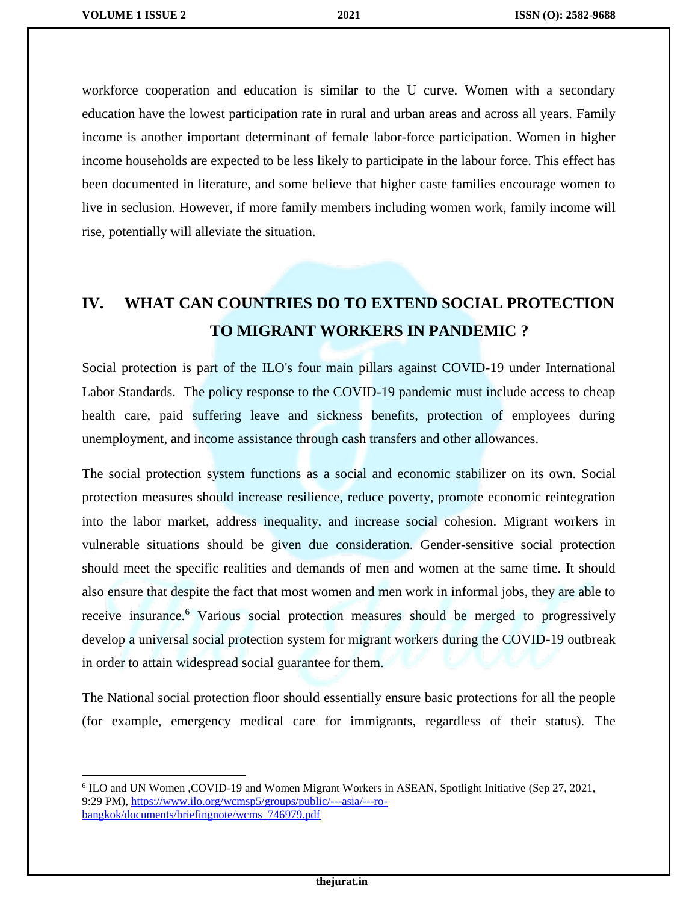$\overline{\phantom{a}}$ 

workforce cooperation and education is similar to the U curve. Women with a secondary education have the lowest participation rate in rural and urban areas and across all years. Family income is another important determinant of female labor-force participation. Women in higher income households are expected to be less likely to participate in the labour force. This effect has been documented in literature, and some believe that higher caste families encourage women to live in seclusion. However, if more family members including women work, family income will rise, potentially will alleviate the situation.

## **IV. WHAT CAN COUNTRIES DO TO EXTEND SOCIAL PROTECTION TO MIGRANT WORKERS IN PANDEMIC ?**

Social protection is part of the ILO's four main pillars against COVID-19 under International Labor Standards. The policy response to the COVID-19 pandemic must include access to cheap health care, paid suffering leave and sickness benefits, protection of employees during unemployment, and income assistance through cash transfers and other allowances.

The social protection system functions as a social and economic stabilizer on its own. Social protection measures should increase resilience, reduce poverty, promote economic reintegration into the labor market, address inequality, and increase social cohesion. Migrant workers in vulnerable situations should be given due consideration. Gender-sensitive social protection should meet the specific realities and demands of men and women at the same time. It should also ensure that despite the fact that most women and men work in informal jobs, they are able to receive insurance.<sup>6</sup> Various social protection measures should be merged to progressively develop a universal social protection system for migrant workers during the COVID-19 outbreak in order to attain widespread social guarantee for them.

The National social protection floor should essentially ensure basic protections for all the people (for example, emergency medical care for immigrants, regardless of their status). The

<sup>6</sup> ILO and UN Women ,COVID-19 and Women Migrant Workers in ASEAN, Spotlight Initiative (Sep 27, 2021, 9:29 PM), [https://www.ilo.org/wcmsp5/groups/public/---asia/---ro](https://www.ilo.org/wcmsp5/groups/public/---asia/---ro-bangkok/documents/briefingnote/wcms_746979.pdf)[bangkok/documents/briefingnote/wcms\\_746979.pdf](https://www.ilo.org/wcmsp5/groups/public/---asia/---ro-bangkok/documents/briefingnote/wcms_746979.pdf)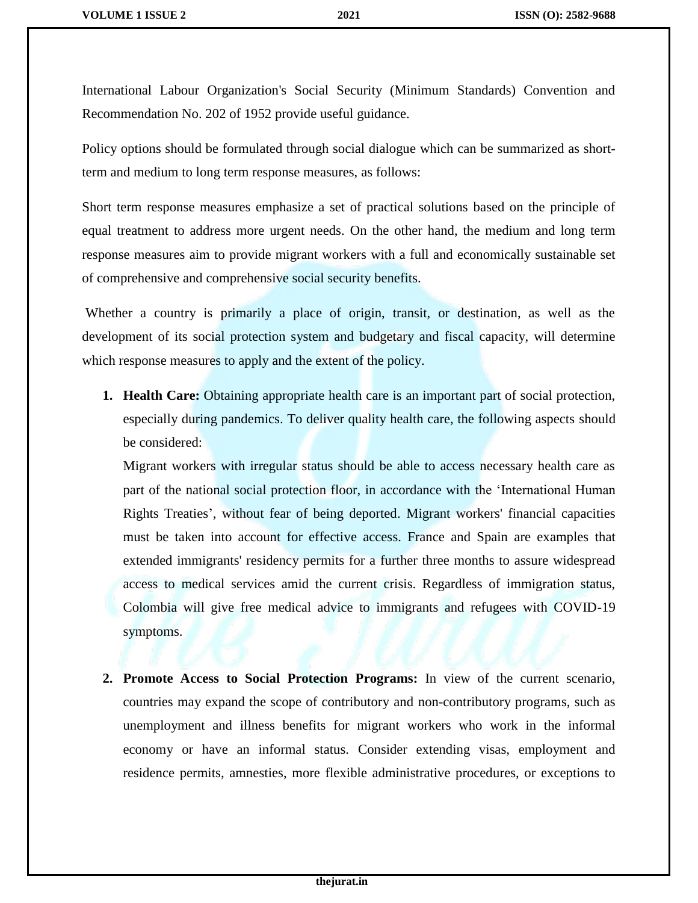International Labour Organization's Social Security (Minimum Standards) Convention and Recommendation No. 202 of 1952 provide useful guidance.

Policy options should be formulated through social dialogue which can be summarized as shortterm and medium to long term response measures, as follows:

Short term response measures emphasize a set of practical solutions based on the principle of equal treatment to address more urgent needs. On the other hand, the medium and long term response measures aim to provide migrant workers with a full and economically sustainable set of comprehensive and comprehensive social security benefits.

Whether a country is primarily a place of origin, transit, or destination, as well as the development of its social protection system and budgetary and fiscal capacity, will determine which response measures to apply and the extent of the policy.

**1. Health Care:** Obtaining appropriate health care is an important part of social protection, especially during pandemics. To deliver quality health care, the following aspects should be considered:

Migrant workers with irregular status should be able to access necessary health care as part of the national social protection floor, in accordance with the 'International Human Rights Treaties', without fear of being deported. Migrant workers' financial capacities must be taken into account for effective access. France and Spain are examples that extended immigrants' residency permits for a further three months to assure widespread access to medical services amid the current crisis. Regardless of immigration status, Colombia will give free medical advice to immigrants and refugees with COVID-19 symptoms.

**2. Promote Access to Social Protection Programs:** In view of the current scenario, countries may expand the scope of contributory and non-contributory programs, such as unemployment and illness benefits for migrant workers who work in the informal economy or have an informal status. Consider extending visas, employment and residence permits, amnesties, more flexible administrative procedures, or exceptions to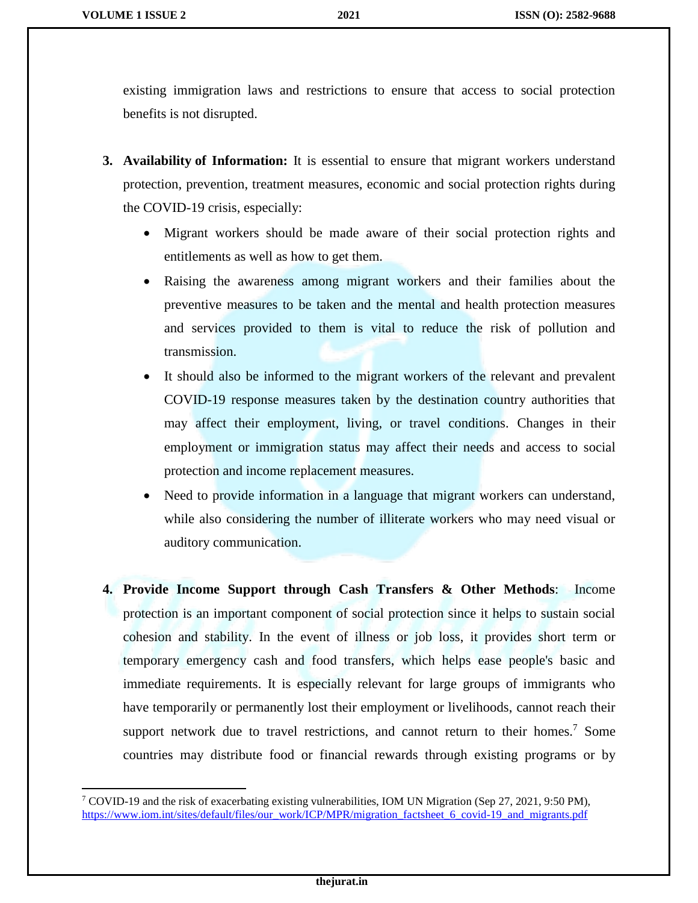$\overline{a}$ 

existing immigration laws and restrictions to ensure that access to social protection benefits is not disrupted.

- **3. Availability of Information:** It is essential to ensure that migrant workers understand protection, prevention, treatment measures, economic and social protection rights during the COVID-19 crisis, especially:
	- Migrant workers should be made aware of their social protection rights and entitlements as well as how to get them.
	- Raising the awareness among migrant workers and their families about the preventive measures to be taken and the mental and health protection measures and services provided to them is vital to reduce the risk of pollution and transmission.
	- It should also be informed to the migrant workers of the relevant and prevalent COVID-19 response measures taken by the destination country authorities that may affect their employment, living, or travel conditions. Changes in their employment or immigration status may affect their needs and access to social protection and income replacement measures.
	- Need to provide information in a language that migrant workers can understand, while also considering the number of illiterate workers who may need visual or auditory communication.
- **4. Provide Income Support through Cash Transfers & Other Methods**: Income protection is an important component of social protection since it helps to sustain social cohesion and stability. In the event of illness or job loss, it provides short term or temporary emergency cash and food transfers, which helps ease people's basic and immediate requirements. It is especially relevant for large groups of immigrants who have temporarily or permanently lost their employment or livelihoods, cannot reach their support network due to travel restrictions, and cannot return to their homes.<sup>7</sup> Some countries may distribute food or financial rewards through existing programs or by

<sup>7</sup> COVID-19 and the risk of exacerbating existing vulnerabilities, IOM UN Migration (Sep 27, 2021, 9:50 PM), [https://www.iom.int/sites/default/files/our\\_work/ICP/MPR/migration\\_factsheet\\_6\\_covid-19\\_and\\_migrants.pdf](https://www.iom.int/sites/default/files/our_work/ICP/MPR/migration_factsheet_6_covid-19_and_migrants.pdf)